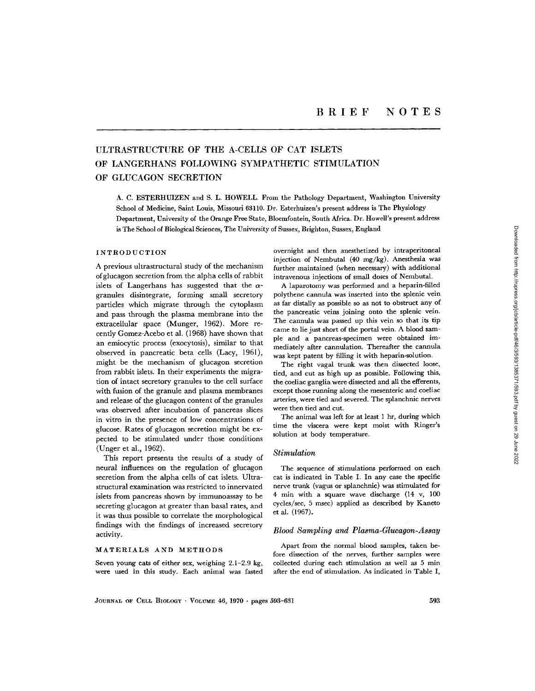# ULTRASTRUCTURE OF THE A-CELLS OF CAT ISLETS OF LANGERHANS FOLLOWING SYMPATHETIC STIMULATION OF GLUCAGON SECRETION

A. C. ESTERHUIZEN and S. L . HOWELL. From the Pathology Department, Washington University School of Medicine, Saint Louis, Missouri 63110. Dr. Esterhuizen's present address is The Physiology Department, University of the Orange Free State, Bloemfontein, South Africa . Dr . Howell's present address is The School of Biological Sciences, The University of Sussex, Brighton, Sussex, England

# INTRODUCTION

A previous ultrastructural study of the mechanism ofglucagon secretion from the alpha cells of rabbit islets of Langerhans has suggested that the  $\alpha$ granules disintegrate, forming small secretory particles which migrate through the cytoplasm and pass through the plasma membrane into the extracellular space (Munger, 1962). More recently Gomez-Acebo et al. (1968) have shown that an emiocytic process (exocytosis), similar to that observed in pancreatic beta cells (Lacy, 1961), might be the mechanism of glucagon secretion from rabbit islets. In their experiments the migration of intact secretory granules to the cell surface with fusion of the granule and plasma membranes and release of the glucagon content of the granules was observed after incubation of pancreas slices in vitro in the presence of low concentrations of glucose. Rates of glucagon secretion might be expected to be stimulated under those conditions (Unger et al., 1962) .

This report presents the results of a study of neural influences on the regulation of glucagon secretion from the alpha cells of cat islets. Ultrastructural examination was restricted to innervated islets from pancreas shown by immunoassay to be secreting glucagon at greater than basal rates, and it was thus possible to correlate the morphological findings with the findings of increased secretory activity.

#### MATERIALS AND METHODS

Seven young cats of either sex, weighing 2.1-2.9 kg, were used in this study. Each animal was fasted overnight and then anesthetized by intraperitoneal injection of Nembutal (40 mg/kg). Anesthesia was further maintained (when necessary) with additional intravenous injections of small doses of Nembutal.

A laparotomy was performed and a heparin-filled polythene cannula was inserted into the splenic vein as far distally as possible so as not to obstruct any of the pancreatic veins joining onto the splenic vein. The cannula was passed up this vein so that its tip came to lie just short of the portal vein . A blood sample and a pancreas-specimen were obtained immediately after cannulation. Thereafter the cannula was kept patent by filling it with heparin-solution.

The right vagal trunk was then dissected loose, tied, and cut as high up as possible. Following this, the coeliac ganglia were dissected and all the efferents, except those running along the mesenteric and coeliac arteries, were tied and severed. The splanchnic nerves were then tied and cut.

The animal was left for at least 1 hr, during which time the viscera were kept moist with Ringer's solution at body temperature.

#### Stimulation

The sequence of stimulations performed on each cat is indicated in Table I. In any case the specific nerve trunk (vagus or splanchnic) was stimulated for 4 min with a square wave discharge (14 v, 100 cycles/sec, 5 msec) applied as described by Kaneto et al. (1967).

#### Blood Sampling and Plasma-Glucagon-Assay

Apart from the normal blood samples, taken before dissection of the nerves, further samples were collected during each stimulation as well as 5 min after the end of stimulation . As indicated in Table I,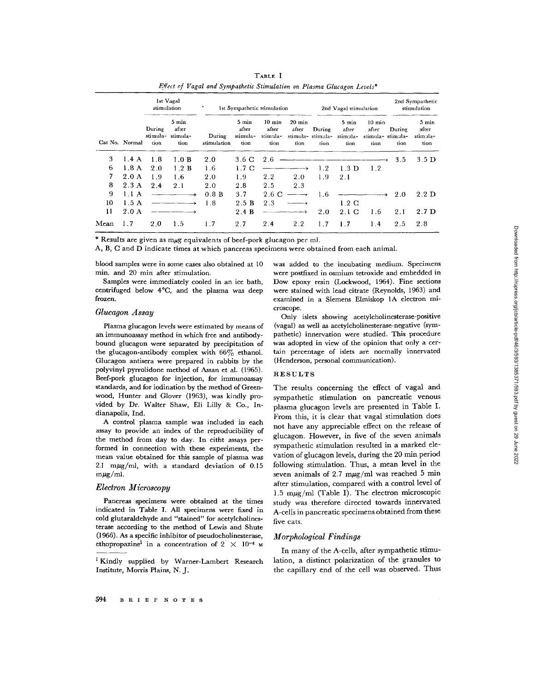|              |                | 1st Vagal<br>stimulation |                                             | ٠<br>1st Sympathetic stimulation |                                    |                                               |                                   | 2nd Vagal stimulation               |                                    |                                             | 2nd Sympathetic<br>stimulation |                                    |
|--------------|----------------|--------------------------|---------------------------------------------|----------------------------------|------------------------------------|-----------------------------------------------|-----------------------------------|-------------------------------------|------------------------------------|---------------------------------------------|--------------------------------|------------------------------------|
|              | Cat No. Normal | During<br>tion           | 5 min<br>after<br>stimula- stimula-<br>tion | During<br>stimulation            | 5 min<br>after<br>stimula-<br>tion | $10 \text{ min}$<br>after<br>stimula-<br>tion | $20 \text{ min}$<br>after<br>tion | During<br>stimula- stimula-<br>tion | 5 min<br>after<br>stimula-<br>tion | 10 min<br>after<br>stimula-stimula-<br>tion | During<br>tion                 | 5 min<br>after<br>stimula-<br>tion |
| 3            | 1.4 A          | 1.8                      | 1.0 B                                       | 2.0                              | $3.6\text{ C}$                     | 2.6                                           |                                   |                                     |                                    |                                             | 3.5                            | 3.5 D                              |
| 6            | 1.8A           | 2.0                      | 1.2 B                                       | 1.6                              | 1.7 <sub>C</sub>                   |                                               |                                   | 1.2                                 | 1.3 <sub>D</sub>                   | 1.2                                         |                                |                                    |
| 7            | 2.0A           | 1.9                      | 1.6                                         | 2.0                              | 1.9                                | 2.2                                           | 2.0                               | 1.9                                 | 2.1                                |                                             |                                |                                    |
| 8            | 2.3A           | 2.4                      | 2.1                                         | 2.0                              | 2.8                                | 2.5                                           | 2.3                               |                                     |                                    |                                             |                                |                                    |
| 9            | 1.1A           |                          |                                             | 0.8 B                            | 3.7                                | 2.6 C                                         |                                   | 1.6                                 |                                    |                                             | 2.0                            | $2.2\text{ D}$                     |
| $10^{\circ}$ | 1.5A           |                          |                                             | 1.8                              | 2.5 B                              | 2.3                                           |                                   |                                     | 12 C                               |                                             |                                |                                    |
| 11           | 2.0 A          |                          |                                             |                                  | 2.4 B                              |                                               |                                   | 2.0                                 | $2.1\text{ C}$                     | 1.6                                         | 2.1                            | 2.7 <sub>D</sub>                   |
| Mean         | 1.7            | 2.0                      | 1.5                                         | 1.7                              | 2.7                                | 2.4                                           | 2.2                               | 1.7                                 | 1.7                                | 1.4                                         | 2.5                            | 2.8                                |

TABLE I Effect of Vagal and Sympathetic Stimulation on Plasma Glucagon Levels\*

\* Results are given as mµg equivalents of beef-pork glucagon per ml.

A, B, C and D indicate times at which pancreas specimens were obtained from each animal .

blood samples were in some cases also obtained at 10 min. and 20 min after stimulation.

Samples were immediately cooled in an ice bath, centrifuged below 4 °C, and the plasma was deep frozen.

# Glucagon Assay

Plasma glucagon levels were estimated by means of an immunoassay method in which free and antibodybound glucagon were separated by precipitation of the glucagon-antibody complex with  $66\%$  ethanol. Glucagon antisera were prepared in rabbits by the polyvinyl pyrrolidone method of Assan et al. (1965). Beef-pork glucagon for injection, for immunoassay standards, and for iodination by the method of Greenwood, Hunter and Glover (1963), was kindly provided by Dr. Walter Shaw, Eli Lilly & Co., Indianapolis, Ind.

A control plasma sample was included in each assay to provide an index of the reproducibility of the method from day to day. In eitht assays performed in connection with these experiments, the mean value obtained for this sample of plasma was 2.1 m $\mu$ g/ml, with a standard deviation of 0.15  $m\mu g/ml$ .

#### Electron Microscopy

Pancreas specimens were obtained at the times indicated in Table I. All specimens were fixed in cold glutaraldehyde and "stained" for acetylcholinesterase according to the method of Lewis and Shute (1966) . As a specific inhibitor of pseudocholinesterase, ethopropazine<sup>1</sup> in a concentration of  $2 \times 10^{-4}$  M

was added to the incubating medium. Specimens were postfixed in osmium tetroxide and embedded in Dow epoxy resin (Lockwood, 1964). Fine sections were stained with lead citrate (Reynolds, 1963) and examined in a Siemens Elmiskop IA electron microscope.

Only islets showing acetylcholinesterase-positive (vagal) as well as acetylcholinesterase-negative (sympathetic) innervation were studied. This procedure was adopted in view of the opinion that only a certain percentage of islets are normally innervated (Henderson, personal communication) .

# RESULTS

The results concerning the effect of vagal and sympathetic stimulation on pancreatic venous plasma glucagon levels are presented in Table I. From this, it is clear that vagal stimulation does not have any appreciable effect on the release of glucagon . However, in five of the seven animals sympathetic stimulation resulted in a marked elevation of glucagon levels, during the 20 min period following stimulation. Thus, a mean level in the seven animals of 2.7 m $\mu$ g/ml was reached 5 min after stimulation, compared with a control level of 1.5 m $\mu$ g/ml (Table I). The electron microscopic study was therefore directed towards innervated A-cells in pancreatic specimens obtained from these five cats.

## Morphological Findings

In many of the A-cells, after sympathetic stimulation, a distinct polarization of the granules to the capillary end of the cell was observed. Thus

<sup>&</sup>lt;sup>1</sup> Kindly supplied by Warner-Lambert Research Institute, Morris Plains, N. J.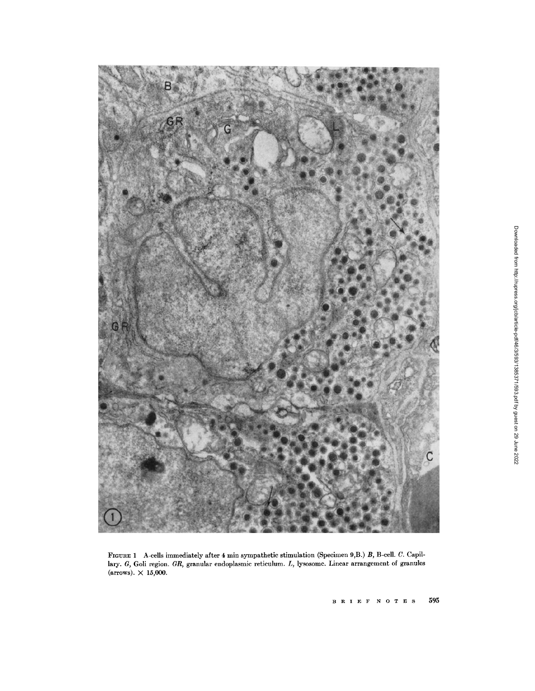

FIGURE 1 A-cells immediately after 4 min sympathetic stimulation (Specimen 9,B.) B, B-cell. C. Capillary. G, Goli region. GR, granular endoplasmic reticulum. L, lysosome. Linear arrangement of granules (arrows).  $\times$  15,000.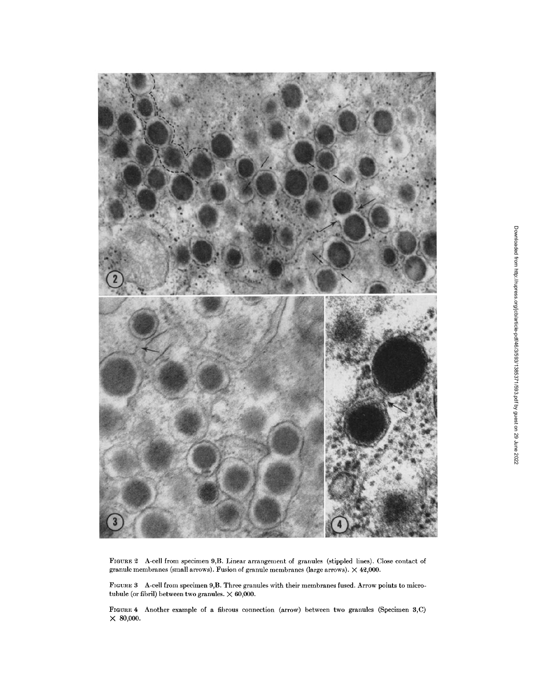

FIGURE 2 A-cell from specimen 9,B . Linear arrangement of granules (stippled lines) . Close contact of granule membranes (small arrows). Fusion of granule membranes (large arrows).  $\times$  42,000.

FIGURE 3 A-cell from specimen 9,B . Three granules with their membranes fused . Arrow points to microtubule (or fibril) between two granules.  $\times$  60,000.

FIGURE 4 Another example of a fibrous connection (arrow) between two granules (Specimen S,C)  $\times$  80,000.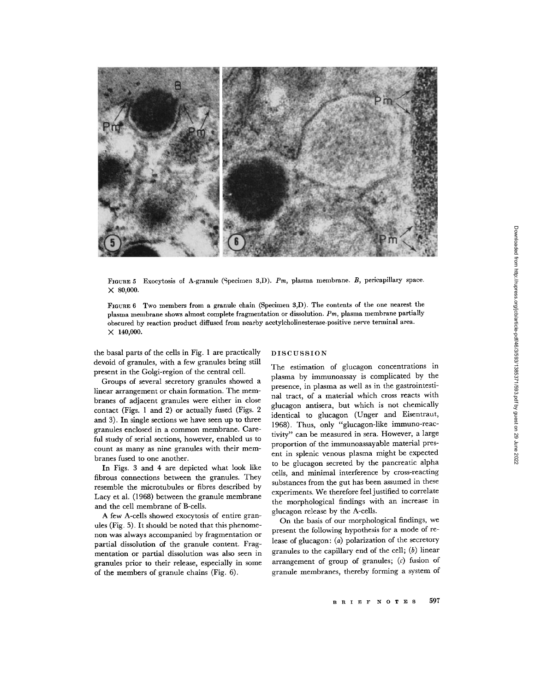

FIGURE 5 Exocytosis of A-granule (Specimen 3,D). Pm, plasma membrane. B, pericapillary space.  $\times$  80,000.

FIGURE 6 Two members from a granule chain (Specimen 3,D) . The contents of the one nearest the plasma membrane shows almost complete fragmentation or dissolution.  $P_m$ , plasma membrane partially obscured by reaction product diffused from nearby acetylcholinesterase-positive nerve terminal area .  $\times$  140,000.

the basal parts of the cells in Fig. 1 are practically devoid of granules, with a few granules being still present in the Golgi-region of the central cell.

Groups of several secretory granules showed a linear arrangement or chain formation. The membranes of adjacent granules were either in close contact (Figs. 1 and 2) or actually fused (Figs. 2 and 3). In single sections we have seen up to three granules enclosed in a common membrane . Careful study of serial sections, however, enabled us to count as many as nine granules with their membranes fused to one another.

In Figs. 3 and 4 are depicted what look like fibrous connections between the granules. They resemble the microtubules or fibres described by Lacy et al. (1968) between the granule membrane and the cell membrane of B-cells .

A few A-cells showed exocytosis of entire granules (Fig. 5). It should be noted that this phenomenon was always accompanied by fragmentation or partial dissolution of the granule content. Fragmentation or partial dissolution was also seen in granules prior to their release, especially in some of the members of granule chains  $(Fig. 6)$ .

## DISCUSSION

The estimation of glucagon concentrations in plasma by immunoassay is complicated by the presence, in plasma as well as in the gastrointestinal tract, of a material which cross reacts with glucagon antisera, but which is not chemically identical to glucagon (Unger and Eisentraut, 1968) . Thus, only "glucagon-like immuno-reactivity" can be measured in sera . However, a large proportion of the immunoassayable material present in splenic venous plasma might be expected to be glucagon secreted by the pancreatic alpha cells, and minimal interference by cross-reacting substances from the gut has been assumed in these experiments . We therefore feel justified to correlate the morphological findings with an increase in glucagon release by the A-cells.

On the basis of our morphological findings, we present the following hypothesis for a mode of release of glucagon: (a) polarization of the secretory granules to the capillary end of the cell;  $(b)$  linear arrangement of group of granules;  $(c)$  fusion of granule membranes, thereby forming a system of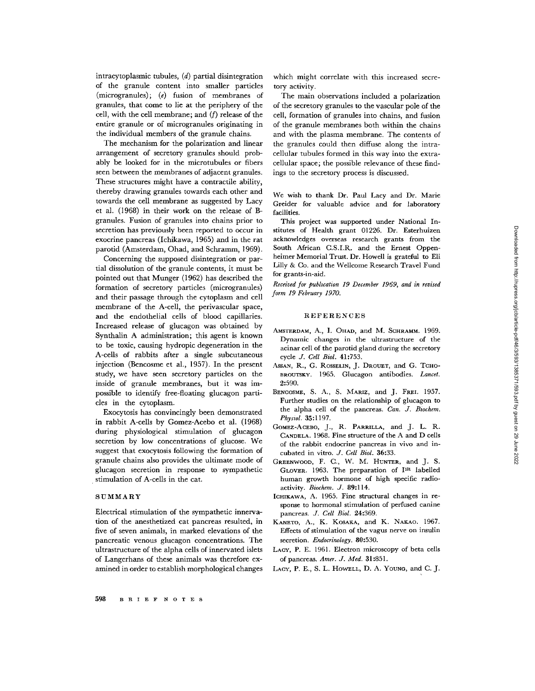intracytoplasmic tubules, (d) partial disintegration of the granule content into smaller particles (microgranules); (e) fusion of membranes of granules, that come to lie at the periphery of the cell, with the cell membrane; and  $(f)$  release of the entire granule or of microgranules originating in the individual members of the granule chains.

The mechanism for the polarization and linear arrangement of secretory granules should probably be looked for in the microtubules or fibers seen between the membranes of adjacent granules . These structures might have a contractile ability, thereby drawing granules towards each other and towards the cell membrane as suggested by Lacy et al. (1968) in their work on the release of Bgranules . Fusion of granules into chains prior to secretion has previously been reported to occur in exocrine pancreas (Ichikawa, 1965) and in the rat parotid (Amsterdam, Chad, and Schramm, 1969) .

Concerning the supposed disintegration or partial dissolution of the granule contents, it must be pointed out that Munger (1962) has described the formation of secretory particles (microgranules) and their passage through the cytoplasm and cell membrane of the A-cell, the perivascular space, and the endothelial cells of blood capillaries. Increased release of glucagon was obtained by Synthalin A administration; this agent is known to be toxic, causing hydropic degeneration in the A-cells of rabbits after a single subcutaneous injection (Bencosme et al., 1957). In the present study, we have seen secretory particles on the inside of granule membranes, but it was impossible to identify free-floating glucagon particles in the cytoplasm.

Exocytosis has convincingly been demonstrated in rabbit A-cells by Gomez-Acebo et al. (1968) during physiological stimulation of glucagon secretion by low concentrations of glucose. We suggest that exocytosis following the formation of granule chains also provides the ultimate mode of glucagon secretion in response to sympathetic stimulation of A-cells in the cat.

#### SUMMARY

Electrical stimulation of the sympathetic innervation of the anesthetized cat pancreas resulted, in five of seven animals, in marked elevations of the pancreatic venous glucagon concentrations . The ultrastructure of the alpha cells of innervated islets of Langerhans of these animals was therefore examined in order to establish morphological changes which might correlate with this increased secretory activity.

The main observations included a polarization of the secretory granules to the vascular pole of the cell, formation of granules into chains, and fusion of the granule membranes both within the chains and with the plasma membrane. The contents of the granules could then diffuse along the intracellular tubules formed in this way into the extracellular space ; the possible relevance of these findings to the secretory process is discussed .

We wish to thank Dr. Paul Lacy and Dr. Marie Greider for valuable advice and for laboratory facilities.

This project was supported under National Institutes of Health grant 01226. Dr. Esterhuizen acknowledges overseas research grants from the South African C.S.I.R. and the Ernest Oppenheimer Memorial Trust. Dr. Howell is grateful to Eli Lilly & Co . and the Wellcome Research Travel Fund for grants-in-aid. Statistes of Health grant of 1926. Dr. Exterluiten and CS.IR. and the Ernest Opperation of Hiran CS. LI. and the Wellcome Research Travel Fund<br>beimer Memorial Trust. Dr. Howell is grateful to Eli<br>Lilly & Co. and the Wellc

Received for publication 19 December 1969, and in revised form 19 February 1970.

## REFERENCES

- AMSTERDAM, A., I. OHAD, and M. SCHRAMM. 1969. Dynamic changes in the ultrastructure of the acinar cell of the parotid gland during the secretory cycle J. Cell Biol. 41:753.
- ASSAN, R., G. ROSSELIN, J. DROUET, and G. TCHO-BROUTSKY. 1965. Glucagon antibodies. Lancet. 2:590.
- BENCOSME, S. A., S. MARIZ, and J. FREI. 1957. Further studies on the relationship of glucagon to the alpha cell of the pancreas. Can. J. Biochem. Physiol. 35:1197.
- GOMEZ-ACEBO, J., R. PARRILLA, and J. L. R. CANDELA. 1968 . Fine structure of the A and D cells of the rabbit endocrine pancreas in vivo and incubated in vitro. J. Cell Biol. 36:33.
- GREENWOOD, F. C., W. M. HUNTER, and J. S. GLOVER. 1963. The preparation of I<sup>131</sup> labelled human growth hormone of high specific radioactivity. Biochem. J. 89:114.
- ICHIKAWA, A. 1965. Fine structural changes in response to hormonal stimulation of perfused canine pancreas. J. Cell Biol. 24:369.
- KANETO, A., K. KOSAKA, and K. NAKAO. 1967. Effects of stimulation of the vagus nerve on insulin secretion. Endocrinology. 80:530.
- LACY, P. E. 1961. Electron microscopy of beta cells of pancreas. Amer. J. Med. 31:851.
-